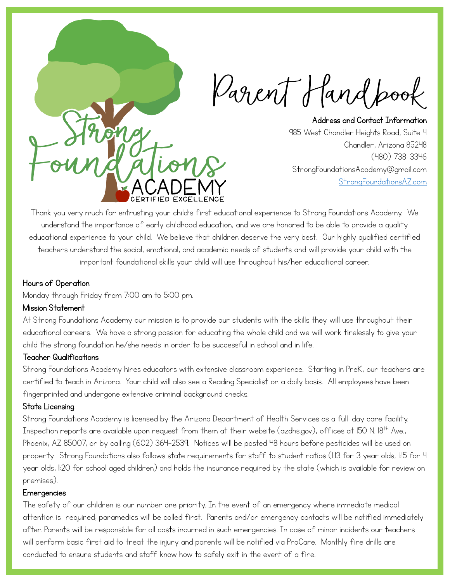Parent Hand pook

Address and Contact Information 985 West Chandler Heights Road, Suite 4 Chandler, Arizona 85248 (480) 738-3346 StrongFoundationsAcademy@gmail.com [StrongFoundationsAZ.com](https://www.strongfoundationsaz.com/)

Thank you very much for entrusting your child's first educational experience to Strong Foundations Academy. We understand the importance of early childhood education, and we are honored to be able to provide a quality educational experience to your child. We believe that children deserve the very best. Our highly qualified certified teachers understand the social, emotional, and academic needs of students and will provide your child with the important foundational skills your child will use throughout his/her educational career.

## Hours of Operation

Monday through Friday from 7:00 am to 5:00 pm.

## Mission Statement

At Strong Foundations Academy our mission is to provide our students with the skills they will use throughout their educational careers. We have a strong passion for educating the whole child and we will work tirelessly to give your child the strong foundation he/she needs in order to be successful in school and in life.

## Teacher Qualifications

Strong Foundations Academy hires educators with extensive classroom experience. Starting in PreK, our teachers are certified to teach in Arizona. Your child will also see a Reading Specialist on a daily basis. All employees have been fingerprinted and undergone extensive criminal background checks.

## State Licensing

Strong Foundations Academy is licensed by the Arizona Department of Health Services as a full-day care facility. Inspection reports are available upon request from them at their website (azdhs.gov), offices at 150 N. 18<sup>th</sup> Ave., Phoenix, AZ 85007, or by calling (602) 364-2539. Notices will be posted 48 hours before pesticides will be used on property. Strong Foundations also follows state requirements for staff to student ratios (1:13 for 3 year olds, 1:15 for 4 year olds, 1:20 for school aged children) and holds the insurance required by the state (which is available for review on premises).

#### **Emergencies**

The safety of our children is our number one priority. In the event of an emergency where immediate medical attention is required, paramedics will be called first. Parents and/or emergency contacts will be notified immediately after. Parents will be responsible for all costs incurred in such emergencies. In case of minor incidents our teachers will perform basic first aid to treat the injury and parents will be notified via ProCare. Monthly fire drills are conducted to ensure students and staff know how to safely exit in the event of a fire.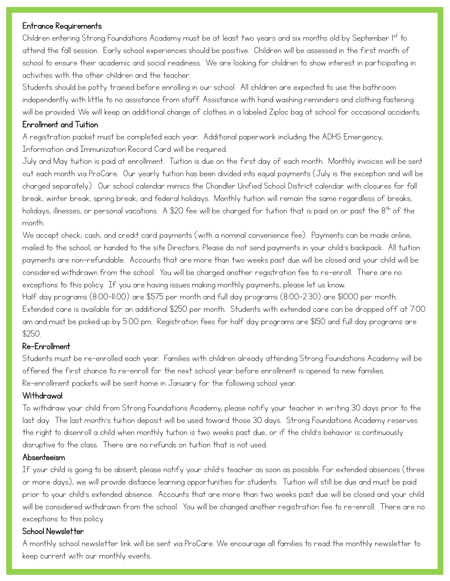#### Entrance Requirements

Children entering Strong Foundations Academy must be at least two years and six months old by September I<sup>st</sup> to attend the fall session. Early school experiences should be positive. Children will be assessed in the first month of school to ensure their academic and social readiness. We are looking for children to show interest in participating in activities with the other children and the teacher.

Students should be potty trained before enrolling in our school. All children are expected to use the bathroom independently with little to no assistance from staff. Assistance with hand washing reminders and clothing fastening will be provided. We will keep an additional change of clothes in a labeled Ziploc bag at school for occasional accidents.

## Enrollment and Tuition

A registration packet must be completed each year. Additional paperwork including the ADHS Emergency, Information and Immunization Record Card will be required.

July and May tuition is paid at enrollment. Tuition is due on the first day of each month. Monthly invoices will be sent out each month via ProCare. Our yearly tuition has been divided into equal payments (July is the exception and will be charged separately). Our school calendar mimics the Chandler Unified School District calendar with closures for fall break, winter break, spring break, and federal holidays. Monthly tuition will remain the same regardless of breaks, holidays, illnesses, or personal vacations. A \$20 fee will be charged for tuition that is paid on or past the 8<sup>th</sup> of the month.

We accept check, cash, and credit card payments (with a nominal convenience fee). Payments can be made online, mailed to the school, or handed to the site Directors. Please do not send payments in your child's backpack. All tuition payments are non-refundable. Accounts that are more than two weeks past due will be closed and your child will be considered withdrawn from the school. You will be charged another registration fee to re-enroll. There are no exceptions to this policy. If you are having issues making monthly payments, please let us know.

Half day programs (8:00-11:00) are \$575 per month and full day programs (8:00-2:30) are \$1000 per month. Extended care is available for an additional \$250 per month. Students with extended care can be dropped off at 7:00 am and must be picked up by 5:00 pm. Registration fees for half day programs are \$150 and full day programs are \$250.

## Re-Enrollment

Students must be re-enrolled each year. Families with children already attending Strong Foundations Academy will be offered the first chance to re-enroll for the next school year before enrollment is opened to new families. Re-enrollment packets will be sent home in January for the following school year.

## Withdrawal

To withdraw your child from Strong Foundations Academy, please notify your teacher in writing 30 days prior to the last day. The last month's tuition deposit will be used toward those 30 days. Strong Foundations Academy reserves the right to disenroll a child when monthly tuition is two weeks past due, or if the child's behavior is continuously disruptive to the class. There are no refunds on tuition that is not used.

## Absenteeism

If your child is going to be absent, please notify your child's teacher as soon as possible. For extended absences (three or more days), we will provide distance learning opportunities for students. Tuition will still be due and must be paid prior to your child's extended absence. Accounts that are more than two weeks past due will be closed and your child will be considered withdrawn from the school. You will be changed another registration fee to re-enroll. There are no exceptions to this policy.

## School Newsletter

A monthly school newsletter link will be sent via ProCare. We encourage all families to read the monthly newsletter to keep current with our monthly events.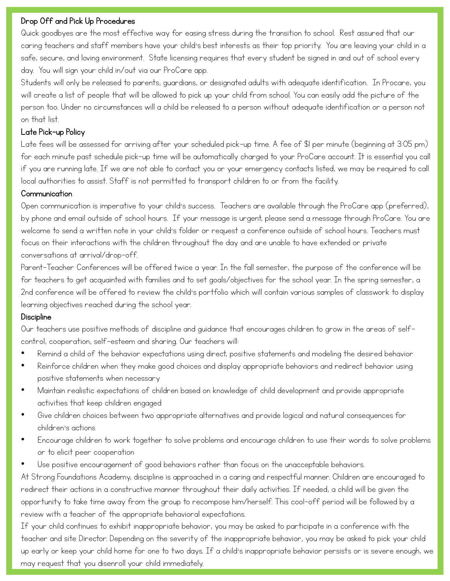#### Drop Off and Pick Up Procedures

Quick goodbyes are the most effective way for easing stress during the transition to school. Rest assured that our caring teachers and staff members have your child's best interests as their top priority. You are leaving your child in a safe, secure, and loving environment. State licensing requires that every student be signed in and out of school every day. You will sign your child in/out via our ProCare app.

Students will only be released to parents, guardians, or designated adults with adequate identification. In Procare, you will create a list of people that will be allowed to pick up your child from school. You can easily add the picture of the person too. Under no circumstances will a child be released to a person without adequate identification or a person not on that list.

#### Late Pick-up Policy

Late fees will be assessed for arriving after your scheduled pick-up time. A fee of \$1 per minute (beginning at 3:05 pm) for each minute past schedule pick-up time will be automatically charged to your ProCare account. It is essential you call if you are running late. If we are not able to contact you or your emergency contacts listed, we may be required to call local authorities to assist. Staff is not permitted to transport children to or from the facility.

### **Communication**

Open communication is imperative to your child's success. Teachers are available through the ProCare app (preferred), by phone and email outside of school hours. If your message is urgent, please send a message through ProCare. You are welcome to send a written note in your child's folder or request a conference outside of school hours. Teachers must focus on their interactions with the children throughout the day and are unable to have extended or private conversations at arrival/drop-off.

Parent-Teacher Conferences will be offered twice a year. In the fall semester, the purpose of the conference will be for teachers to get acquainted with families and to set goals/objectives for the school year. In the spring semester, a 2nd conference will be offered to review the child's portfolio which will contain various samples of classwork to display learning objectives reached during the school year.

#### **Discipline**

Our teachers use positive methods of discipline and guidance that encourages children to grow in the areas of selfcontrol, cooperation, self-esteem and sharing. Our teachers will:

- Remind a child of the behavior expectations using direct, positive statements and modeling the desired behavior
- Reinforce children when they make good choices and display appropriate behaviors and redirect behavior using positive statements when necessary
- Maintain realistic expectations of children based on knowledge of child development and provide appropriate activities that keep children engaged
- Give children choices between two appropriate alternatives and provide logical and natural consequences for children's actions
- Encourage children to work together to solve problems and encourage children to use their words to solve problems or to elicit peer cooperation
- Use positive encouragement of good behaviors rather than focus on the unacceptable behaviors.

At Strong Foundations Academy, discipline is approached in a caring and respectful manner. Children are encouraged to redirect their actions in a constructive manner throughout their daily activities. If needed, a child will be given the opportunity to take time away from the group to recompose him/herself. This cool-off period will be followed by a review with a teacher of the appropriate behavioral expectations.

If your child continues to exhibit inappropriate behavior, you may be asked to participate in a conference with the teacher and site Director. Depending on the severity of the inappropriate behavior, you may be asked to pick your child up early or keep your child home for one to two days. If a child's inappropriate behavior persists or is severe enough, we may request that you disenroll your child immediately.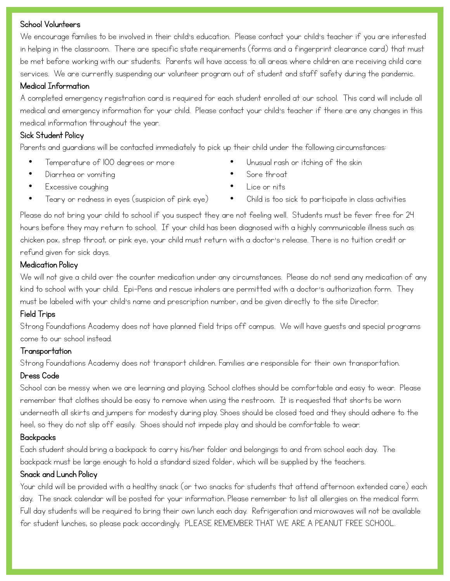#### School Volunteers

We encourage families to be involved in their child's education. Please contact your child's teacher if you are interested in helping in the classroom. There are specific state requirements (forms and a fingerprint clearance card) that must be met before working with our students. Parents will have access to all areas where children are receiving child care services. We are currently suspending our volunteer program out of student and staff safety during the pandemic.

## Medical Information

A completed emergency registration card is required for each student enrolled at our school. This card will include all medical and emergency information for your child. Please contact your child's teacher if there are any changes in this medical information throughout the year.

# Sick Student Policy

Parents and guardians will be contacted immediately to pick up their child under the following circumstances:

- Temperature of 100 degrees or more
- Diarrhea or vomiting
- Excessive coughing
- Teary or redness in eyes (suspicion of pink eye)
- Unusual rash or itching of the skin
- Sore throat
- Lice or nits
- Child is too sick to participate in class activities

Please do not bring your child to school if you suspect they are not feeling well. Students must be fever free for 24 hours before they may return to school. If your child has been diagnosed with a highly communicable illness such as chicken pox, strep throat, or pink eye, your child must return with a doctor's release. There is no tuition credit or refund given for sick days.

## Medication Policy

We will not give a child over the counter medication under any circumstances. Please do not send any medication of any kind to school with your child. Epi-Pens and rescue inhalers are permitted with a doctor's authorization form. They must be labeled with your child's name and prescription number, and be given directly to the site Director.

## Field Trips

Strong Foundations Academy does not have planned field trips off campus. We will have guests and special programs come to our school instead.

## Transportation

Strong Foundations Academy does not transport children. Families are responsible for their own transportation.

## Dress Code

School can be messy when we are learning and playing. School clothes should be comfortable and easy to wear. Please remember that clothes should be easy to remove when using the restroom. It is requested that shorts be worn underneath all skirts and jumpers for modesty during play. Shoes should be closed toed and they should adhere to the heel, so they do not slip off easily. Shoes should not impede play and should be comfortable to wear.

## Backpacks

Each student should bring a backpack to carry his/her folder and belongings to and from school each day. The backpack must be large enough to hold a standard sized folder, which will be supplied by the teachers.

## Snack and Lunch Policy

Your child will be provided with a healthy snack (or two snacks for students that attend afternoon extended care) each day. The snack calendar will be posted for your information. Please remember to list all allergies on the medical form. Full day students will be required to bring their own lunch each day. Refrigeration and microwaves will not be available for student lunches, so please pack accordingly. PLEASE REMEMBER THAT WE ARE A PEANUT FREE SCHOOL.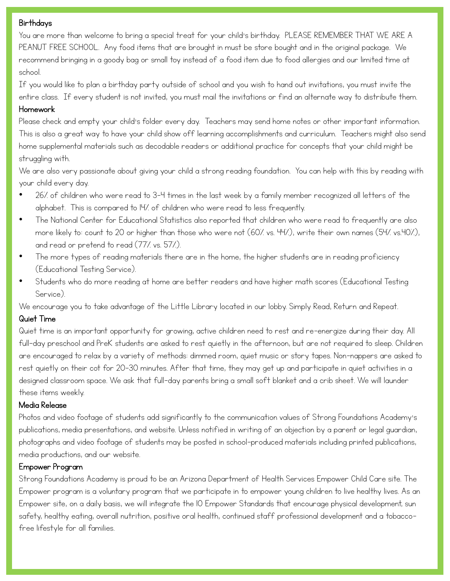#### **Birthdays**

You are more than welcome to bring a special treat for your child's birthday. PLEASE REMEMBER THAT WE ARE A PEANUT FREE SCHOOL. Any food items that are brought in must be store bought and in the original package. We recommend bringing in a goody bag or small toy instead of a food item due to food allergies and our limited time at school.

If you would like to plan a birthday party outside of school and you wish to hand out invitations, you must invite the entire class. If every student is not invited, you must mail the invitations or find an alternate way to distribute them.

# Homework

Please check and empty your child's folder every day. Teachers may send home notes or other important information. This is also a great way to have your child show off learning accomplishments and curriculum. Teachers might also send home supplemental materials such as decodable readers or additional practice for concepts that your child might be struggling with.

We are also very passionate about giving your child a strong reading foundation. You can help with this by reading with your child every day.

- 26% of children who were read to 3-4 times in the last week by a family member recognized all letters of the alphabet. This is compared to 14% of children who were read to less frequently.
- The National Center for Educational Statistics also reported that children who were read to frequently are also more likely to: count to 20 or higher than those who were not (60% vs. 44%), write their own names (54% vs.40%), and read or pretend to read (77% vs. 57%).
- The more types of reading materials there are in the home, the higher students are in reading proficiency (Educational Testing Service).
- Students who do more reading at home are better readers and have higher math scores (Educational Testing Service).

We encourage you to take advantage of the Little Library located in our lobby. Simply Read, Return and Repeat.

## Quiet Time

Quiet time is an important opportunity for growing, active children need to rest and re-energize during their day. All full-day preschool and PreK students are asked to rest quietly in the afternoon, but are not required to sleep. Children are encouraged to relax by a variety of methods: dimmed room, quiet music or story tapes. Non-nappers are asked to rest quietly on their cot for 20-30 minutes. After that time, they may get up and participate in quiet activities in a designed classroom space. We ask that full-day parents bring a small soft blanket and a crib sheet. We will launder these items weekly.

## Media Release

Photos and video footage of students add significantly to the communication values of Strong Foundations Academy's publications, media presentations, and website. Unless notified in writing of an objection by a parent or legal guardian, photographs and video footage of students may be posted in school-produced materials including printed publications, media productions, and our website.

## Empower Program

Strong Foundations Academy is proud to be an Arizona Department of Health Services Empower Child Care site. The Empower program is a voluntary program that we participate in to empower young children to live healthy lives. As an Empower site, on a daily basis, we will integrate the 10 Empower Standards that encourage physical development, sun safety, healthy eating, overall nutrition, positive oral health, continued staff professional development and a tobaccofree lifestyle for all families.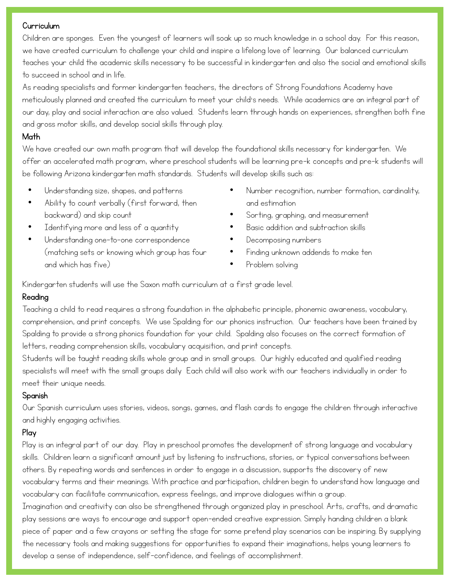### Curriculum

Children are sponges. Even the youngest of learners will soak up so much knowledge in a school day. For this reason, we have created curriculum to challenge your child and inspire a lifelong love of learning. Our balanced curriculum teaches your child the academic skills necessary to be successful in kindergarten and also the social and emotional skills to succeed in school and in life.

As reading specialists and former kindergarten teachers, the directors of Strong Foundations Academy have meticulously planned and created the curriculum to meet your child's needs. While academics are an integral part of our day, play and social interaction are also valued. Students learn through hands on experiences, strengthen both fine and gross motor skills, and develop social skills through play.

## Math

We have created our own math program that will develop the foundational skills necessary for kindergarten. We offer an accelerated math program, where preschool students will be learning pre-k concepts and pre-k students will be following Arizona kindergarten math standards. Students will develop skills such as:

- Understanding size, shapes, and patterns
- Ability to count verbally (first forward, then backward) and skip count
- Identifying more and less of a quantity
- Understanding one-to-one correspondence (matching sets or knowing which group has four and which has five)
- Number recognition, number formation, cardinality, and estimation
- Sorting, graphing, and measurement
- Basic addition and subtraction skills
- Decomposing numbers
- Finding unknown addends to make ten
- Problem solving

Kindergarten students will use the Saxon math curriculum at a first grade level.

## Reading

Teaching a child to read requires a strong foundation in the alphabetic principle, phonemic awareness, vocabulary, comprehension, and print concepts. We use Spalding for our phonics instruction. Our teachers have been trained by Spalding to provide a strong phonics foundation for your child. Spalding also focuses on the correct formation of letters, reading comprehension skills, vocabulary acquisition, and print concepts.

Students will be taught reading skills whole group and in small groups. Our highly educated and qualified reading specialists will meet with the small groups daily Each child will also work with our teachers individually in order to meet their unique needs.

## Spanish

Our Spanish curriculum uses stories, videos, songs, games, and flash cards to engage the children through interactive and highly engaging activities.

# Play

Play is an integral part of our day. Play in preschool promotes the development of strong language and vocabulary skills. Children learn a significant amount just by listening to instructions, stories, or typical conversations between others. By repeating words and sentences in order to engage in a discussion, supports the discovery of new vocabulary terms and their meanings. With practice and participation, children begin to understand how language and vocabulary can facilitate communication, express feelings, and improve dialogues within a group. Imagination and creativity can also be strengthened through organized play in preschool. Arts, crafts, and dramatic play sessions are ways to encourage and support open-ended creative expression. Simply handing children a blank piece of paper and a few crayons or setting the stage for some pretend play scenarios can be inspiring. By supplying

the necessary tools and making suggestions for opportunities to expand their imaginations, helps young learners to develop a sense of independence, self-confidence, and feelings of accomplishment.